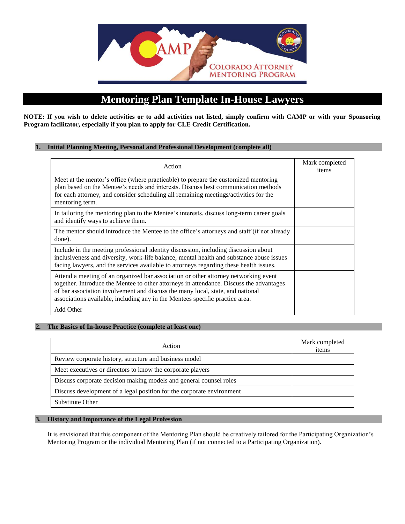

# **Mentoring Plan Template In-House Lawyers**

**NOTE: If you wish to delete activities or to add activities not listed, simply confirm with CAMP or with your Sponsoring Program facilitator, especially if you plan to apply for CLE Credit Certification.** 

#### **1. Initial Planning Meeting, Personal and Professional Development (complete all)**

| Action                                                                                                                                                                                                                                                                                                                                           | Mark completed<br>items |
|--------------------------------------------------------------------------------------------------------------------------------------------------------------------------------------------------------------------------------------------------------------------------------------------------------------------------------------------------|-------------------------|
| Meet at the mentor's office (where practicable) to prepare the customized mentoring<br>plan based on the Mentee's needs and interests. Discuss best communication methods<br>for each attorney, and consider scheduling all remaining meetings/activities for the<br>mentoring term.                                                             |                         |
| In tailoring the mentoring plan to the Mentee's interests, discuss long-term career goals<br>and identify ways to achieve them.                                                                                                                                                                                                                  |                         |
| The mentor should introduce the Mentee to the office's attorneys and staff (if not already<br>done).                                                                                                                                                                                                                                             |                         |
| Include in the meeting professional identity discussion, including discussion about<br>inclusiveness and diversity, work-life balance, mental health and substance abuse issues<br>facing lawyers, and the services available to attorneys regarding these health issues.                                                                        |                         |
| Attend a meeting of an organized bar association or other attorney networking event<br>together. Introduce the Mentee to other attorneys in attendance. Discuss the advantages<br>of bar association involvement and discuss the many local, state, and national<br>associations available, including any in the Mentees specific practice area. |                         |
| Add Other                                                                                                                                                                                                                                                                                                                                        |                         |

#### **2. The Basics of In-house Practice (complete at least one)**

| Action                                                                | Mark completed<br>items |
|-----------------------------------------------------------------------|-------------------------|
| Review corporate history, structure and business model                |                         |
| Meet executives or directors to know the corporate players            |                         |
| Discuss corporate decision making models and general counsel roles    |                         |
| Discuss development of a legal position for the corporate environment |                         |
| Substitute Other                                                      |                         |

#### **3. History and Importance of the Legal Profession**

It is envisioned that this component of the Mentoring Plan should be creatively tailored for the Participating Organization's Mentoring Program or the individual Mentoring Plan (if not connected to a Participating Organization).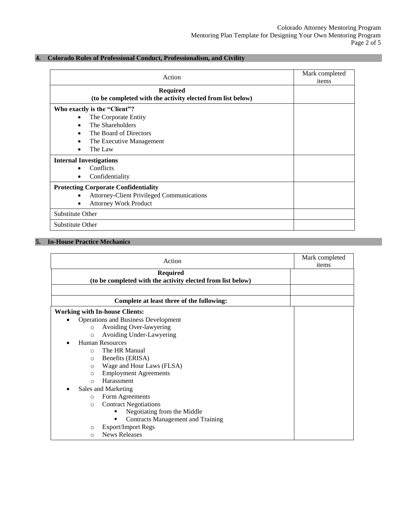# **4. Colorado Rules of Professional Conduct, Professionalism, and Civility**

| Action                                                                         | Mark completed<br>items |
|--------------------------------------------------------------------------------|-------------------------|
| <b>Required</b><br>(to be completed with the activity elected from list below) |                         |
| Who exactly is the "Client"?                                                   |                         |
| The Corporate Entity<br>$\bullet$                                              |                         |
| The Shareholders<br>$\bullet$                                                  |                         |
| The Board of Directors<br>٠                                                    |                         |
| The Executive Management                                                       |                         |
| The Law<br>$\bullet$                                                           |                         |
| <b>Internal Investigations</b>                                                 |                         |
| Conflicts                                                                      |                         |
| Confidentiality                                                                |                         |
| <b>Protecting Corporate Confidentiality</b>                                    |                         |
| <b>Attorney-Client Privileged Communications</b><br>$\bullet$                  |                         |
| <b>Attorney Work Product</b>                                                   |                         |
| Substitute Other                                                               |                         |
| Substitute Other                                                               |                         |

## **5. In-House Practice Mechanics**

|           | Action                                                      | Mark completed<br>items |
|-----------|-------------------------------------------------------------|-------------------------|
|           | <b>Required</b>                                             |                         |
|           | (to be completed with the activity elected from list below) |                         |
|           |                                                             |                         |
|           | Complete at least three of the following:                   |                         |
|           | <b>Working with In-house Clients:</b>                       |                         |
| $\bullet$ | <b>Operations and Business Development</b>                  |                         |
|           | Avoiding Over-lawyering<br>$\circ$                          |                         |
| $\circ$   | Avoiding Under-Lawyering                                    |                         |
|           | <b>Human Resources</b>                                      |                         |
|           | The HR Manual<br>$\Omega$                                   |                         |
|           | Benefits (ERISA)<br>$\Omega$                                |                         |
| $\circ$   | Wage and Hour Laws (FLSA)                                   |                         |
|           | <b>Employment Agreements</b><br>$\circ$                     |                         |
|           | Harassment<br>$\Omega$                                      |                         |
|           | Sales and Marketing                                         |                         |
| $\circ$   | Form Agreements                                             |                         |
| $\Omega$  | <b>Contract Negotiations</b>                                |                         |
|           | Negotiating from the Middle<br>٠                            |                         |
|           | <b>Contracts Management and Training</b><br>٠               |                         |
| O         | <b>Export/Import Regs</b>                                   |                         |
| Ω         | <b>News Releases</b>                                        |                         |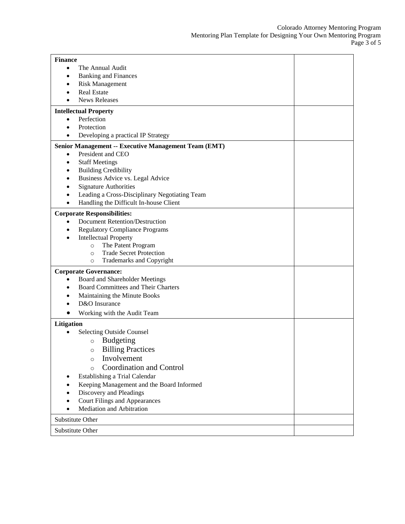| <b>Finance</b>                                              |  |
|-------------------------------------------------------------|--|
| The Annual Audit<br>$\bullet$                               |  |
| <b>Banking and Finances</b><br>$\bullet$                    |  |
| <b>Risk Management</b>                                      |  |
| <b>Real Estate</b>                                          |  |
| <b>News Releases</b>                                        |  |
| <b>Intellectual Property</b>                                |  |
| Perfection<br>$\bullet$                                     |  |
| Protection                                                  |  |
| Developing a practical IP Strategy                          |  |
| <b>Senior Management -- Executive Management Team (EMT)</b> |  |
| President and CEO<br>$\bullet$                              |  |
| <b>Staff Meetings</b><br>$\bullet$                          |  |
| <b>Building Credibility</b>                                 |  |
| Business Advice vs. Legal Advice<br>٠                       |  |
| <b>Signature Authorities</b><br>$\bullet$                   |  |
| Leading a Cross-Disciplinary Negotiating Team<br>$\bullet$  |  |
| Handling the Difficult In-house Client<br>$\bullet$         |  |
|                                                             |  |
| <b>Corporate Responsibilities:</b>                          |  |
| <b>Document Retention/Destruction</b><br>$\bullet$          |  |
| <b>Regulatory Compliance Programs</b>                       |  |
| <b>Intellectual Property</b>                                |  |
| The Patent Program<br>$\circ$                               |  |
| <b>Trade Secret Protection</b><br>$\circ$                   |  |
| Trademarks and Copyright<br>$\circ$                         |  |
| <b>Corporate Governance:</b>                                |  |
| Board and Shareholder Meetings<br>$\bullet$                 |  |
| <b>Board Committees and Their Charters</b>                  |  |
| Maintaining the Minute Books                                |  |
| D&O Insurance                                               |  |
| Working with the Audit Team                                 |  |
| Litigation                                                  |  |
| <b>Selecting Outside Counsel</b>                            |  |
| <b>Budgeting</b><br>$\circ$                                 |  |
|                                                             |  |
| <b>Billing Practices</b><br>O                               |  |
| Involvement<br>$\circ$                                      |  |
| Coordination and Control<br>$\circ$                         |  |
| Establishing a Trial Calendar<br>$\bullet$                  |  |
| Keeping Management and the Board Informed                   |  |
| Discovery and Pleadings                                     |  |
| <b>Court Filings and Appearances</b>                        |  |
| Mediation and Arbitration                                   |  |
| Substitute Other                                            |  |
|                                                             |  |
| Substitute Other                                            |  |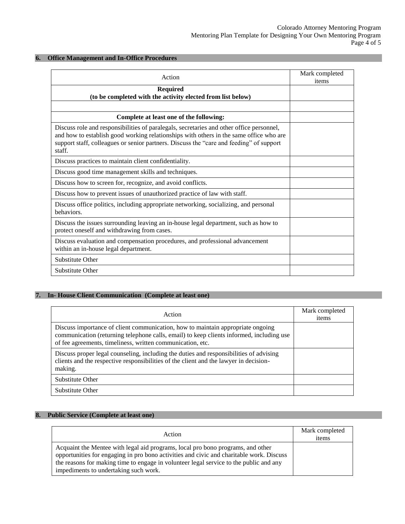### **6. Office Management and In-Office Procedures**

| Action                                                                                                                                                                                                                                                                                  | Mark completed<br>items |
|-----------------------------------------------------------------------------------------------------------------------------------------------------------------------------------------------------------------------------------------------------------------------------------------|-------------------------|
| <b>Required</b><br>(to be completed with the activity elected from list below)                                                                                                                                                                                                          |                         |
|                                                                                                                                                                                                                                                                                         |                         |
| Complete at least one of the following:                                                                                                                                                                                                                                                 |                         |
| Discuss role and responsibilities of paralegals, secretaries and other office personnel,<br>and how to establish good working relationships with others in the same office who are<br>support staff, colleagues or senior partners. Discuss the "care and feeding" of support<br>staff. |                         |
| Discuss practices to maintain client confidentiality.                                                                                                                                                                                                                                   |                         |
| Discuss good time management skills and techniques.                                                                                                                                                                                                                                     |                         |
| Discuss how to screen for, recognize, and avoid conflicts.                                                                                                                                                                                                                              |                         |
| Discuss how to prevent issues of unauthorized practice of law with staff.                                                                                                                                                                                                               |                         |
| Discuss office politics, including appropriate networking, socializing, and personal<br>behaviors.                                                                                                                                                                                      |                         |
| Discuss the issues surrounding leaving an in-house legal department, such as how to<br>protect oneself and withdrawing from cases.                                                                                                                                                      |                         |
| Discuss evaluation and compensation procedures, and professional advancement<br>within an in-house legal department.                                                                                                                                                                    |                         |
| <b>Substitute Other</b>                                                                                                                                                                                                                                                                 |                         |
| <b>Substitute Other</b>                                                                                                                                                                                                                                                                 |                         |

# **7. In- House Client Communication (Complete at least one)**

| Action                                                                                                                                                                                                                                    | Mark completed<br>items |
|-------------------------------------------------------------------------------------------------------------------------------------------------------------------------------------------------------------------------------------------|-------------------------|
| Discuss importance of client communication, how to maintain appropriate ongoing<br>communication (returning telephone calls, email) to keep clients informed, including use<br>of fee agreements, timeliness, written communication, etc. |                         |
| Discuss proper legal counseling, including the duties and responsibilities of advising<br>clients and the respective responsibilities of the client and the lawyer in decision-<br>making.                                                |                         |
| Substitute Other                                                                                                                                                                                                                          |                         |
| Substitute Other                                                                                                                                                                                                                          |                         |

# **8. Public Service (Complete at least one)**

| Action                                                                                                                                                                                                                                                                                                         | Mark completed<br>items |
|----------------------------------------------------------------------------------------------------------------------------------------------------------------------------------------------------------------------------------------------------------------------------------------------------------------|-------------------------|
| Acquaint the Mentee with legal aid programs, local pro bono programs, and other<br>opportunities for engaging in pro bono activities and civic and charitable work. Discuss<br>the reasons for making time to engage in volunteer legal service to the public and any<br>impediments to undertaking such work. |                         |